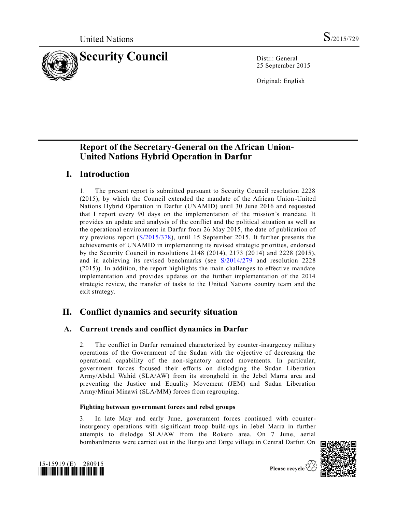

25 September 2015

Original: English

# **Report of the Secretary-General on the African Union-United Nations Hybrid Operation in Darfur**

# **I. Introduction**

1. The present report is submitted pursuant to Security Council resolution 2228 (2015), by which the Council extended the mandate of the African Union-United Nations Hybrid Operation in Darfur (UNAMID) until 30 June 2016 and requested that I report every 90 days on the implementation of the mission's mandate. It provides an update and analysis of the conflict and the political situation as well as the operational environment in Darfur from 26 May 2015, the date of publication of my previous report [\(S/2015/378\)](http://undocs.org/S/2015/378), until 15 September 2015. It further presents the achievements of UNAMID in implementing its revised strategic priorities, endorsed by the Security Council in resolutions 2148 (2014), 2173 (2014) and 2228 (2015), and in achieving its revised benchmarks (see [S/2014/279](http://undocs.org/S/2014/279) and resolution 2228 (2015)). In addition, the report highlights the main challenges to effective mandate implementation and provides updates on the further implementation of the 2014 strategic review, the transfer of tasks to the United Nations country team and the exit strategy.

# **II. Conflict dynamics and security situation**

## **A. Current trends and conflict dynamics in Darfur**

2. The conflict in Darfur remained characterized by counter-insurgency military operations of the Government of the Sudan with the objective of decreasing the operational capability of the non-signatory armed movements. In particular, government forces focused their efforts on dislodging the Sudan Liberation Army/Abdul Wahid (SLA/AW) from its stronghold in the Jebel Marra area and preventing the Justice and Equality Movement (JEM) and Sudan Liberation Army/Minni Minawi (SLA/MM) forces from regrouping.

## **Fighting between government forces and rebel groups**

3. In late May and early June, government forces continued with counterinsurgency operations with significant troop build-ups in Jebel Marra in further attempts to dislodge SLA/AW from the Rokero area. On 7 June, aerial bombardments were carried out in the Burgo and Targe village in Central Darfur. On



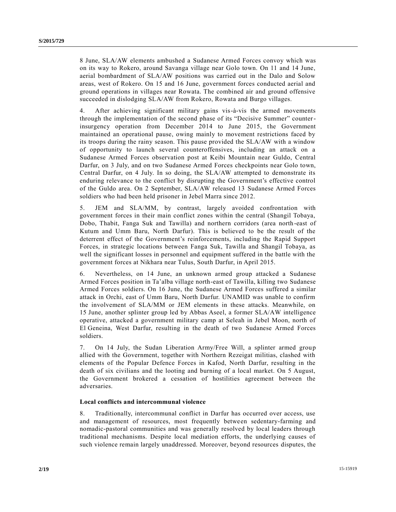8 June, SLA/AW elements ambushed a Sudanese Armed Forces convoy which was on its way to Rokero, around Savanga village near Golo town. On 11 and 14 June, aerial bombardment of SLA/AW positions was carried out in the Dalo and Solow areas, west of Rokero. On 15 and 16 June, government forces conducted aerial and ground operations in villages near Rowata. The combined air and ground offensive succeeded in dislodging SLA/AW from Rokero, Rowata and Burgo villages.

4. After achieving significant military gains vis-à-vis the armed movements through the implementation of the second phase of its "Decisive Summer" counterinsurgency operation from December 2014 to June 2015, the Government maintained an operational pause, owing mainly to movement restrictions faced by its troops during the rainy season. This pause provided the SLA/AW with a window of opportunity to launch several counteroffensives, including an attack on a Sudanese Armed Forces observation post at Keibi Mountain near Guldo, Central Darfur, on 3 July, and on two Sudanese Armed Forces checkpoints near Golo town, Central Darfur, on 4 July. In so doing, the SLA/AW attempted to demonstrate its enduring relevance to the conflict by disrupting the Government's effective control of the Guldo area. On 2 September, SLA/AW released 13 Sudanese Armed Forces soldiers who had been held prisoner in Jebel Marra since 2012.

5. JEM and SLA/MM, by contrast, largely avoided confrontation with government forces in their main conflict zones within the central (Shangil Tobaya, Dobo, Thabit, Fanga Suk and Tawilla) and northern corridors (area north -east of Kutum and Umm Baru, North Darfur). This is believed to be the result of the deterrent effect of the Government's reinforcements, including the Rapid Support Forces, in strategic locations between Fanga Suk, Tawilla and Shangil Tobaya, as well the significant losses in personnel and equipment suffered in the battle with the government forces at Nikhara near Tulus, South Darfur, in April 2015.

6. Nevertheless, on 14 June, an unknown armed group attacked a Sudanese Armed Forces position in Ta'alba village north-east of Tawilla, killing two Sudanese Armed Forces soldiers. On 16 June, the Sudanese Armed Forces suffered a similar attack in Orchi, east of Umm Baru, North Darfur. UNAMID was unable to confirm the involvement of SLA/MM or JEM elements in these attacks. Meanwhile, on 15 June, another splinter group led by Abbas Aseel, a former SLA/AW intelligence operative, attacked a government military camp at Seleah in Jebel Moon, north of El Geneina, West Darfur, resulting in the death of two Sudanese Armed Forces soldiers.

7. On 14 July, the Sudan Liberation Army/Free Will, a splinter armed group allied with the Government, together with Northern Rezeigat militias, clashed with elements of the Popular Defence Forces in Kafod, North Darfur, resulting in the death of six civilians and the looting and burning of a local market. On 5 August, the Government brokered a cessation of hostilities agreement between the adversaries.

## **Local conflicts and intercommunal violence**

8. Traditionally, intercommunal conflict in Darfur has occurred over access, use and management of resources, most frequently between sedentary-farming and nomadic-pastoral communities and was generally resolved by local leaders through traditional mechanisms. Despite local mediation efforts, the underlying causes of such violence remain largely unaddressed. Moreover, beyond resources disputes, the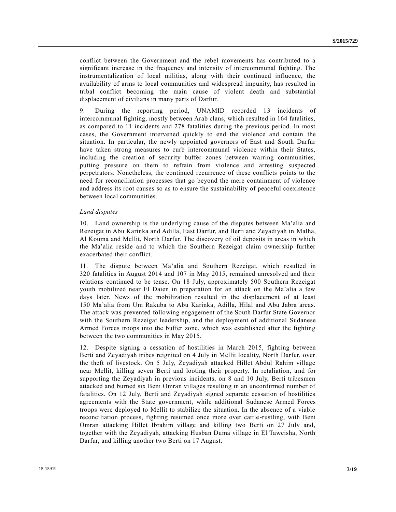conflict between the Government and the rebel movements has contributed to a significant increase in the frequency and intensity of intercommunal fighting. The instrumentalization of local militias, along with their continued influence, the availability of arms to local communities and widespread impunity, has resulted in tribal conflict becoming the main cause of violent death and substantial displacement of civilians in many parts of Darfur.

9. During the reporting period, UNAMID recorded 13 incidents of intercommunal fighting, mostly between Arab clans, which resulted in 164 fatalities, as compared to 11 incidents and 278 fatalities during the previous period. In most cases, the Government intervened quickly to end the violence and contain the situation. In particular, the newly appointed governors of East and South Darfur have taken strong measures to curb intercommunal violence within their States, including the creation of security buffer zones between warring communities, putting pressure on them to refrain from violence and arresting suspected perpetrators. Nonetheless, the continued recurrence of these conflicts points to the need for reconciliation processes that go beyond the mere containment of violence and address its root causes so as to ensure the sustainability of peaceful coexistence between local communities.

#### *Land disputes*

10. Land ownership is the underlying cause of the disputes between Ma'alia and Rezeigat in Abu Karinka and Adilla, East Darfur, and Berti and Zeyadiyah in Malha, Al Kouma and Mellit, North Darfur. The discovery of oil deposits in areas in which the Ma'alia reside and to which the Southern Rezeigat claim ownership further exacerbated their conflict.

11. The dispute between Ma'alia and Southern Rezeigat, which resulted in 320 fatalities in August 2014 and 107 in May 2015, remained unresolved and their relations continued to be tense. On 18 July, approximately 500 Southern Rezeigat youth mobilized near El Daien in preparation for an attack on the Ma'alia a few days later. News of the mobilization resulted in the displacement of at least 150 Ma'alia from Um Rakuba to Abu Karinka, Adilla, Hilal and Abu Jabra areas. The attack was prevented following engagement of the South Darfur State Governor with the Southern Rezeigat leadership, and the deployment of additional Sudanese Armed Forces troops into the buffer zone, which was established after the fighting between the two communities in May 2015.

12. Despite signing a cessation of hostilities in March 2015, fighting between Berti and Zeyadiyah tribes reignited on 4 July in Mellit locality, North Darfur, over the theft of livestock. On 5 July, Zeyadiyah attacked Hillet Abdul Rahim village near Mellit, killing seven Berti and looting their property. In retaliation, a nd for supporting the Zeyadiyah in previous incidents, on 8 and 10 July, Berti tribesmen attacked and burned six Beni Omran villages resulting in an unconfirmed number of fatalities. On 12 July, Berti and Zeyadiyah signed separate cessation of hostilities agreements with the State government, while additional Sudanese Armed Forces troops were deployed to Mellit to stabilize the situation. In the absence of a viable reconciliation process, fighting resumed once more over cattle-rustling, with Beni Omran attacking Hillet Ibrahim village and killing two Berti on 27 July and, together with the Zeyadiyah, attacking Husban Duma village in El Taweisha, North Darfur, and killing another two Berti on 17 August.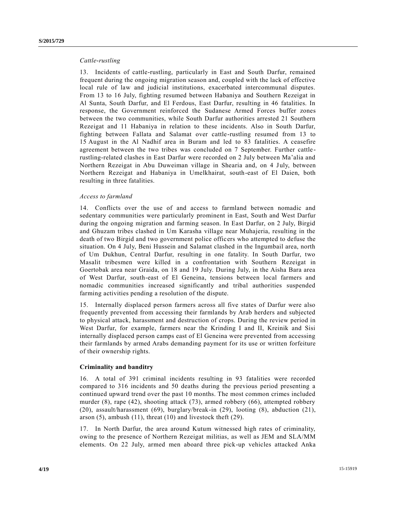#### *Cattle-rustling*

13. Incidents of cattle-rustling, particularly in East and South Darfur, remained frequent during the ongoing migration season and, coupled with the lack of effective local rule of law and judicial institutions, exacerbated intercommunal disputes. From 13 to 16 July, fighting resumed between Habaniya and Southern Rezeigat in Al Sunta, South Darfur, and El Ferdous, East Darfur, resulting in 46 fatalities. In response, the Government reinforced the Sudanese Armed Forces buffer zones between the two communities, while South Darfur authorities arrested 21 Southern Rezeigat and 11 Habaniya in relation to these incidents. Also in South Darfur, fighting between Fallata and Salamat over cattle-rustling resumed from 13 to 15 August in the Al Nadhif area in Buram and led to 83 fatalities. A ceasefire agreement between the two tribes was concluded on 7 September. Further cattle rustling-related clashes in East Darfur were recorded on 2 July between Ma'alia and Northern Rezeigat in Abu Duweiman village in Shearia and, on 4 July, between Northern Rezeigat and Habaniya in Umelkhairat, south-east of El Daien, both resulting in three fatalities.

#### *Access to farmland*

14. Conflicts over the use of and access to farmland between nomadic and sedentary communities were particularly prominent in East, South and West Darfur during the ongoing migration and farming season. In East Darfur, on 2 July, Birgid and Ghuzam tribes clashed in Um Karasha village near Muhajeria, resulting in the death of two Birgid and two government police officers who attempted to defuse the situation. On 4 July, Beni Hussein and Salamat clashed in the Ingumbail area, north of Um Dukhun, Central Darfur, resulting in one fatality. In South Darfur, two Masalit tribesmen were killed in a confrontation with Southern Rezeigat in Goertobak area near Graida, on 18 and 19 July. During July, in the Aisha Bara area of West Darfur, south-east of El Geneina, tensions between local farmers and nomadic communities increased significantly and tribal authorities suspended farming activities pending a resolution of the dispute.

15. Internally displaced person farmers across all five states of Darfur were also frequently prevented from accessing their farmlands by Arab herders and subjected to physical attack, harassment and destruction of crops. During the review period in West Darfur, for example, farmers near the Krinding I and II, Kreinik and Sisi internally displaced person camps east of El Geneina were prevented from accessing their farmlands by armed Arabs demanding payment for its use or written forfeiture of their ownership rights.

#### **Criminality and banditry**

16. A total of 391 criminal incidents resulting in 93 fatalities were recorded compared to 316 incidents and 50 deaths during the previous period presenting a continued upward trend over the past 10 months. The most common crimes included murder (8), rape (42), shooting attack (73), armed robbery (66), attempted robbery (20), assault/harassment (69), burglary/break-in (29), looting (8), abduction (21), arson (5), ambush (11), threat (10) and livestock theft (29).

17. In North Darfur, the area around Kutum witnessed high rates of criminality, owing to the presence of Northern Rezeigat militias, as well as JEM and SLA/MM elements. On 22 July, armed men aboard three pick-up vehicles attacked Anka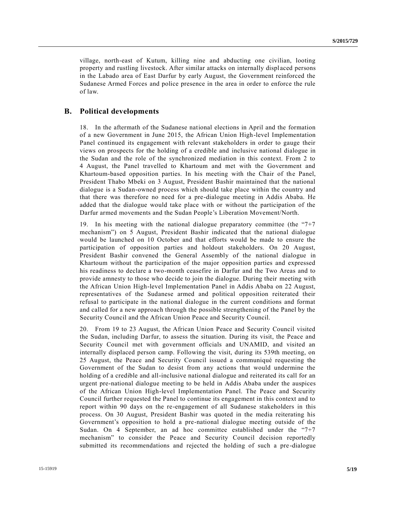village, north-east of Kutum, killing nine and abducting one civilian, looting property and rustling livestock. After similar attacks on internally displ aced persons in the Labado area of East Darfur by early August, the Government reinforced the Sudanese Armed Forces and police presence in the area in order to enforce the rule of law.

### **B. Political developments**

18. In the aftermath of the Sudanese national elections in April and the formation of a new Government in June 2015, the African Union High-level Implementation Panel continued its engagement with relevant stakeholders in order to gauge their views on prospects for the holding of a credible and inclusive national dialogue in the Sudan and the role of the synchronized mediation in this context. From 2 to 4 August, the Panel travelled to Khartoum and met with the Government and Khartoum-based opposition parties. In his meeting with the Chair of the Panel, President Thabo Mbeki on 3 August, President Bashir maintained that the national dialogue is a Sudan-owned process which should take place within the country and that there was therefore no need for a pre-dialogue meeting in Addis Ababa. He added that the dialogue would take place with or without the participation of the Darfur armed movements and the Sudan People's Liberation Movement/North.

19. In his meeting with the national dialogue preparatory committee (the "7+7 mechanism") on 5 August, President Bashir indicated that the national dialogue would be launched on 10 October and that efforts would be made to ensure the participation of opposition parties and holdout stakeholders. On 20 August, President Bashir convened the General Assembly of the national dialogue in Khartoum without the participation of the major opposition parties and expressed his readiness to declare a two-month ceasefire in Darfur and the Two Areas and to provide amnesty to those who decide to join the dialogue. During their meeting with the African Union High-level Implementation Panel in Addis Ababa on 22 August, representatives of the Sudanese armed and political opposition reiterated their refusal to participate in the national dialogue in the current conditions and format and called for a new approach through the possible strengthening of the Panel by the Security Council and the African Union Peace and Security Council.

20. From 19 to 23 August, the African Union Peace and Security Council visited the Sudan, including Darfur, to assess the situation. During its visit, the Peace and Security Council met with government officials and UNAMID, and visited an internally displaced person camp. Following the visit, during its 539th meeting, on 25 August, the Peace and Security Council issued a communiqué requesting the Government of the Sudan to desist from any actions that would undermine the holding of a credible and all-inclusive national dialogue and reiterated its call for an urgent pre-national dialogue meeting to be held in Addis Ababa under the auspices of the African Union High-level Implementation Panel. The Peace and Security Council further requested the Panel to continue its engagement in this context and to report within 90 days on the re-engagement of all Sudanese stakeholders in this process. On 30 August, President Bashir was quoted in the media reiterating his Government's opposition to hold a pre-national dialogue meeting outside of the Sudan. On 4 September, an ad hoc committee established under the "7+7 mechanism" to consider the Peace and Security Council decision reportedly submitted its recommendations and rejected the holding of such a pre -dialogue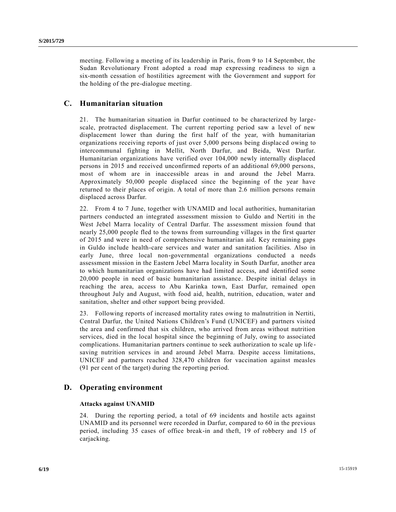meeting. Following a meeting of its leadership in Paris, from 9 to 14 September, the Sudan Revolutionary Front adopted a road map expressing readiness to sign a six-month cessation of hostilities agreement with the Government and support for the holding of the pre-dialogue meeting.

## **C. Humanitarian situation**

21. The humanitarian situation in Darfur continued to be characterized by largescale, protracted displacement. The current reporting period saw a level of new displacement lower than during the first half of the year, with humanitarian organizations receiving reports of just over 5,000 persons being displac ed owing to intercommunal fighting in Mellit, North Darfur, and Beida, West Darfur. Humanitarian organizations have verified over 104,000 newly internally displaced persons in 2015 and received unconfirmed reports of an additional 69,000 persons, most of whom are in inaccessible areas in and around the Jebel Marra. Approximately 50,000 people displaced since the beginning of the year have returned to their places of origin. A total of more than 2.6 million persons remain displaced across Darfur.

22. From 4 to 7 June, together with UNAMID and local authorities, humanitarian partners conducted an integrated assessment mission to Guldo and Nertiti in the West Jebel Marra locality of Central Darfur. The assessment mission found that nearly 25,000 people fled to the towns from surrounding villages in the first quarter of 2015 and were in need of comprehensive humanitarian aid. Key remaining gaps in Guldo include health-care services and water and sanitation facilities. Also in early June, three local non-governmental organizations conducted a needs assessment mission in the Eastern Jebel Marra locality in South Darfur, another area to which humanitarian organizations have had limited access, and identified some 20,000 people in need of basic humanitarian assistance. Despite initial delays in reaching the area, access to Abu Karinka town, East Darfur, remained open throughout July and August, with food aid, health, nutrition, education, water and sanitation, shelter and other support being provided.

23. Following reports of increased mortality rates owing to malnutrition in Nertiti, Central Darfur, the United Nations Children's Fund (UNICEF) and partners visited the area and confirmed that six children, who arrived from areas without nutrition services, died in the local hospital since the beginning of July, owing to associated complications. Humanitarian partners continue to seek authorization to scale up life saving nutrition services in and around Jebel Marra. Despite access limitations, UNICEF and partners reached 328,470 children for vaccination against measles (91 per cent of the target) during the reporting period.

## **D. Operating environment**

### **Attacks against UNAMID**

24. During the reporting period, a total of 69 incidents and hostile acts against UNAMID and its personnel were recorded in Darfur, compared to 60 in the previous period, including 35 cases of office break-in and theft, 19 of robbery and 15 of carjacking.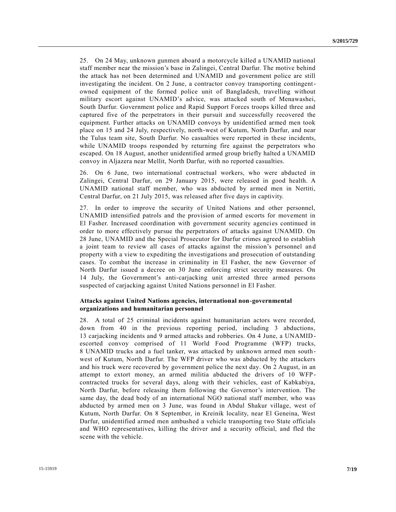25. On 24 May, unknown gunmen aboard a motorcycle killed a UNAMID national staff member near the mission's base in Zalingei, Central Darfur. The motive behind the attack has not been determined and UNAMID and government police are still investigating the incident. On 2 June, a contractor convoy transporting contingentowned equipment of the formed police unit of Bangladesh, travelling without military escort against UNAMID's advice, was attacked south of Menawashei, South Darfur. Government police and Rapid Support Forces troops killed three and captured five of the perpetrators in their pursuit and successfully recovered the equipment. Further attacks on UNAMID convoys by unidentified armed men took place on 15 and 24 July, respectively, north-west of Kutum, North Darfur, and near the Tulus team site, South Darfur. No casualties were reported in these incidents, while UNAMID troops responded by returning fire against the perpetrators who escaped. On 18 August, another unidentified armed group briefly halted a UNAMID convoy in Aljazera near Mellit, North Darfur, with no reported casualties.

26. On 6 June, two international contractual workers, who were abducted in Zalingei, Central Darfur, on 29 January 2015, were released in good health. A UNAMID national staff member, who was abducted by armed men in Nertiti, Central Darfur, on 21 July 2015, was released after five days in captivity.

27. In order to improve the security of United Nations and other personnel, UNAMID intensified patrols and the provision of armed escorts for movement in El Fasher. Increased coordination with government security agencies continued in order to more effectively pursue the perpetrators of attacks against UNAMID. On 28 June, UNAMID and the Special Prosecutor for Darfur crimes agreed to establish a joint team to review all cases of attacks against the mission's personnel an d property with a view to expediting the investigations and prosecution of outstanding cases. To combat the increase in criminality in El Fasher, the new Governor of North Darfur issued a decree on 30 June enforcing strict security measures. On 14 July, the Government's anti-carjacking unit arrested three armed persons suspected of carjacking against United Nations personnel in El Fasher.

#### **Attacks against United Nations agencies, international non-governmental organizations and humanitarian personnel**

28. A total of 25 criminal incidents against humanitarian actors were recorded, down from 40 in the previous reporting period, including 3 abductions, 13 carjacking incidents and 9 armed attacks and robberies. On 4 June, a UNAMIDescorted convoy comprised of 11 World Food Programme (WFP) trucks, 8 UNAMID trucks and a fuel tanker, was attacked by unknown armed men southwest of Kutum, North Darfur. The WFP driver who was abducted by the attackers and his truck were recovered by government police the next day. On 2 August, in an attempt to extort money, an armed militia abducted the drivers of 10 WFPcontracted trucks for several days, along with their vehicles, east of Kabkabiya, North Darfur, before releasing them following the Governor's intervention. The same day, the dead body of an international NGO national staff member, who was abducted by armed men on 3 June, was found in Abdul Shakur village, west of Kutum, North Darfur. On 8 September, in Kreinik locality, near El Geneina, West Darfur, unidentified armed men ambushed a vehicle transporting two State officials and WHO representatives, killing the driver and a security official, and fled the scene with the vehicle.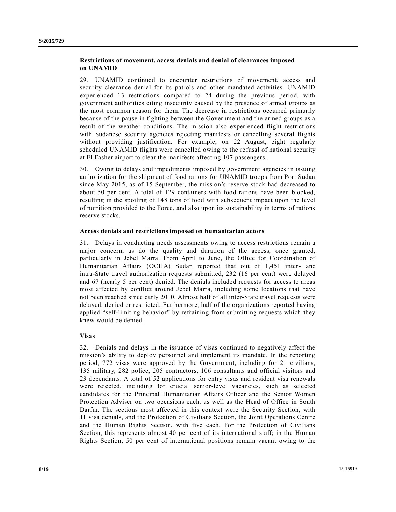### **Restrictions of movement, access denials and denial of clearances imposed on UNAMID**

29. UNAMID continued to encounter restrictions of movement, access and security clearance denial for its patrols and other mandated activities. UNAMID experienced 13 restrictions compared to 24 during the previous period, with government authorities citing insecurity caused by the presence of armed groups as the most common reason for them. The decrease in restrictions occurred primarily because of the pause in fighting between the Government and the armed groups as a result of the weather conditions. The mission also experienced flight restrictions with Sudanese security agencies rejecting manifests or cancelling several flights without providing justification. For example, on 22 August, eight regularly scheduled UNAMID flights were cancelled owing to the refusal of national security at El Fasher airport to clear the manifests affecting 107 passengers.

30. Owing to delays and impediments imposed by government agencies in issuing authorization for the shipment of food rations for UNAMID troops from Port Sudan since May 2015, as of 15 September, the mission's reserve stock had decreased to about 50 per cent. A total of 129 containers with food rations have been blocked, resulting in the spoiling of 148 tons of food with subsequent impact upon the level of nutrition provided to the Force, and also upon its sustainability in terms of rations reserve stocks.

#### **Access denials and restrictions imposed on humanitarian actors**

31. Delays in conducting needs assessments owing to access restrictions remain a major concern, as do the quality and duration of the access, once granted, particularly in Jebel Marra. From April to June, the Office for Coordination of Humanitarian Affairs (OCHA) Sudan reported that out of 1,451 inter- and intra-State travel authorization requests submitted, 232 (16 per cent) were delayed and 67 (nearly 5 per cent) denied. The denials included requests for access to areas most affected by conflict around Jebel Marra, including some locations that have not been reached since early 2010. Almost half of all inter-State travel requests were delayed, denied or restricted. Furthermore, half of the organizations reported having applied "self-limiting behavior" by refraining from submitting requests which they knew would be denied.

#### **Visas**

32. Denials and delays in the issuance of visas continued to negatively affect the mission's ability to deploy personnel and implement its mandate. In the reporting period, 772 visas were approved by the Government, including for 21 civilians, 135 military, 282 police, 205 contractors, 106 consultants and official visitors and 23 dependants. A total of 52 applications for entry visas and resident visa renewals were rejected, including for crucial senior-level vacancies, such as selected candidates for the Principal Humanitarian Affairs Officer and the Senior Women Protection Adviser on two occasions each, as well as the Head of Office in South Darfur. The sections most affected in this context were the Security Section, with 11 visa denials, and the Protection of Civilians Section, the Joint Operations Centre and the Human Rights Section, with five each. For the Protection of Civilians Section, this represents almost 40 per cent of its international staff; in the Human Rights Section, 50 per cent of international positions remain vacant owing to the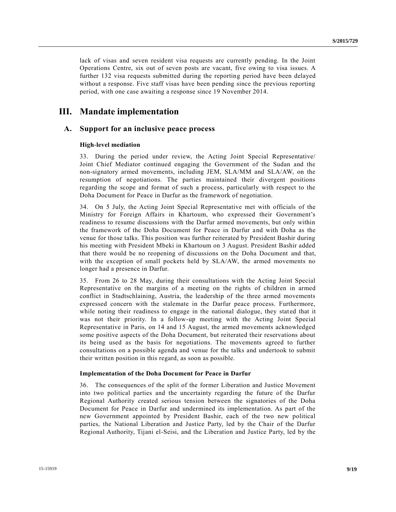lack of visas and seven resident visa requests are currently pending. In the Joint Operations Centre, six out of seven posts are vacant, five owing to visa issues. A further 132 visa requests submitted during the reporting period have been delayed without a response. Five staff visas have been pending since the previous reporting period, with one case awaiting a response since 19 November 2014.

## **III. Mandate implementation**

### **A. Support for an inclusive peace process**

#### **High-level mediation**

33. During the period under review, the Acting Joint Special Representative/ Joint Chief Mediator continued engaging the Government of the Sudan and the non-signatory armed movements, including JEM, SLA/MM and SLA/AW, on the resumption of negotiations. The parties maintained their divergent positions regarding the scope and format of such a process, particularly with respect to the Doha Document for Peace in Darfur as the framework of negotiation.

34. On 5 July, the Acting Joint Special Representative met with officials of the Ministry for Foreign Affairs in Khartoum, who expressed their Government's readiness to resume discussions with the Darfur armed movements, but only within the framework of the Doha Document for Peace in Darfur and with Doha as the venue for those talks. This position was further reiterated by President Bashir during his meeting with President Mbeki in Khartoum on 3 August. President Bashir added that there would be no reopening of discussions on the Doha Document and that, with the exception of small pockets held by  $SLA/AW$ , the armed movements no longer had a presence in Darfur.

35. From 26 to 28 May, during their consultations with the Acting Joint Special Representative on the margins of a meeting on the rights of children in armed conflict in Stadtschlaining, Austria, the leadership of the three armed movements expressed concern with the stalemate in the Darfur peace process. Furthermore, while noting their readiness to engage in the national dialogue, they stated that it was not their priority. In a follow-up meeting with the Acting Joint Special Representative in Paris, on 14 and 15 August, the armed movements acknowledged some positive aspects of the Doha Document, but reiterated their reservations about its being used as the basis for negotiations. The movements agreed to further consultations on a possible agenda and venue for the talks and undertook to submit their written position in this regard, as soon as possible.

#### **Implementation of the Doha Document for Peace in Darfur**

36. The consequences of the split of the former Liberation and Justice Movement into two political parties and the uncertainty regarding the future of the Darfur Regional Authority created serious tension between the signatories of the Doha Document for Peace in Darfur and undermined its implementation. As part of the new Government appointed by President Bashir, each of the two new political parties, the National Liberation and Justice Party, led by the Chair of the Darfur Regional Authority, Tijani el-Seisi, and the Liberation and Justice Party, led by the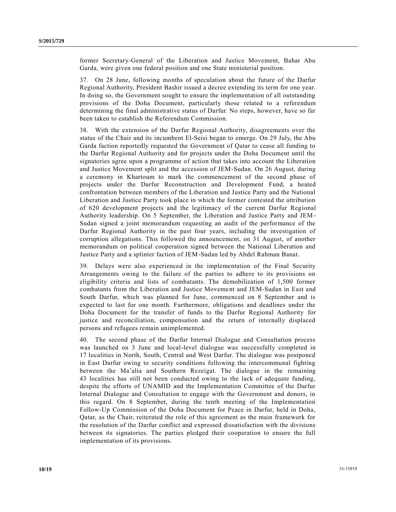former Secretary-General of the Liberation and Justice Movement, Bahar Abu Garda, were given one federal position and one State ministerial position.

37. On 28 June, following months of speculation about the future of the Darfur Regional Authority, President Bashir issued a decree extending its term for one year. In doing so, the Government sought to ensure the implementation of all outstanding provisions of the Doha Document, particularly those related to a referendum determining the final administrative status of Darfur. No steps, however, have so far been taken to establish the Referendum Commission.

38. With the extension of the Darfur Regional Authority, disagreements over the status of the Chair and its incumbent El-Seisi began to emerge. On 29 July, the Abu Garda faction reportedly requested the Government of Qatar to cease all funding to the Darfur Regional Authority and for projects under the Doha Document until the signatories agree upon a programme of action that takes into account the Liberation and Justice Movement split and the accession of JEM-Sudan. On 26 August, during a ceremony in Khartoum to mark the commencement of the second phase of projects under the Darfur Reconstruction and Development Fund, a heated confrontation between members of the Liberation and Justice Party and the National Liberation and Justice Party took place in which the former contested the attribution of 620 development projects and the legitimacy of the current Darfur Regional Authority leadership. On 5 September, the Liberation and Justice Party and JEM-Sudan signed a joint memorandum requesting an audit of the performance of the Darfur Regional Authority in the past four years, including the investigation of corruption allegations. This followed the announcement, on 31 August, of another memorandum on political cooperation signed between the National Liberation and Justice Party and a splinter faction of JEM-Sudan led by Abdel Rahman Banat.

39. Delays were also experienced in the implementation of the Final Security Arrangements owing to the failure of the parties to adhere to its provisions on eligibility criteria and lists of combatants. The demobilization of 1,500 former combatants from the Liberation and Justice Movement and JEM-Sudan in East and South Darfur, which was planned for June, commenced on 8 September and is expected to last for one month. Furthermore, obligations and deadlines under the Doha Document for the transfer of funds to the Darfur Regional Authority for justice and reconciliation, compensation and the return of internally displaced persons and refugees remain unimplemented.

40. The second phase of the Darfur Internal Dialogue and Consultation process was launched on 3 June and local-level dialogue was successfully completed in 17 localities in North, South, Central and West Darfur. The dialogue was postponed in East Darfur owing to security conditions following the intercommunal fighting between the Ma'alia and Southern Rezeigat. The dialogue in the remaining 43 localities has still not been conducted owing to the lack of adequate funding, despite the efforts of UNAMID and the Implementation Committee of the Darfur Internal Dialogue and Consultation to engage with the Government and donors, in this regard. On 8 September, during the tenth meeting of the Implementation Follow-Up Commission of the Doha Document for Peace in Darfur, held in Doha, Qatar, as the Chair, reiterated the role of this agreement as the main framework for the resolution of the Darfur conflict and expressed dissatisfaction with the divisions between its signatories. The parties pledged their cooperation to ensure the full implementation of its provisions.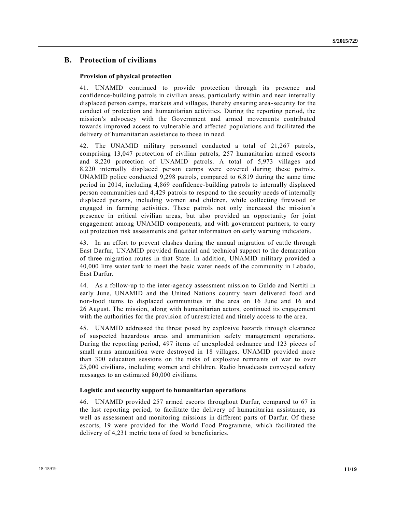## **B. Protection of civilians**

#### **Provision of physical protection**

41. UNAMID continued to provide protection through its presence and confidence-building patrols in civilian areas, particularly within and near internally displaced person camps, markets and villages, thereby ensuring area -security for the conduct of protection and humanitarian activities. During the reporting period, the mission's advocacy with the Government and armed movements contributed towards improved access to vulnerable and affected populations and facilitated the delivery of humanitarian assistance to those in need.

42. The UNAMID military personnel conducted a total of 21,267 patrols, comprising 13,047 protection of civilian patrols, 257 humanitarian armed escorts and 8,220 protection of UNAMID patrols. A total of 5,973 villages and 8,220 internally displaced person camps were covered during these patrols. UNAMID police conducted 9,298 patrols, compared to 6,819 during the same time period in 2014, including 4,869 confidence-building patrols to internally displaced person communities and 4,429 patrols to respond to the security needs of internally displaced persons, including women and children, while collecting firewood or engaged in farming activities. These patrols not only increased the mission's presence in critical civilian areas, but also provided an opportunity for joint engagement among UNAMID components, and with government partners, to carry out protection risk assessments and gather information on early warning indicators.

43. In an effort to prevent clashes during the annual migration of cattle through East Darfur, UNAMID provided financial and technical support to the demarcation of three migration routes in that State. In addition, UNAMID military provided a 40,000 litre water tank to meet the basic water needs of the community in Labado, East Darfur.

44. As a follow-up to the inter-agency assessment mission to Guldo and Nertiti in early June, UNAMID and the United Nations country team delivered food and non-food items to displaced communities in the area on 16 June and 16 and 26 August. The mission, along with humanitarian actors, continued its engagement with the authorities for the provision of unrestricted and timely access to the area.

45. UNAMID addressed the threat posed by explosive hazards through clearance of suspected hazardous areas and ammunition safety management operations. During the reporting period, 497 items of unexploded ordnance and 123 pieces of small arms ammunition were destroyed in 18 villages. UNAMID provided more than 300 education sessions on the risks of explosive remnants of war to over 25,000 civilians, including women and children. Radio broadcasts conveyed safety messages to an estimated 80,000 civilians.

#### **Logistic and security support to humanitarian operations**

46. UNAMID provided 257 armed escorts throughout Darfur, compared to 67 in the last reporting period, to facilitate the delivery of humanitarian assistance, as well as assessment and monitoring missions in different parts of Darfur. Of these escorts, 19 were provided for the World Food Programme, which facilitated the delivery of 4,231 metric tons of food to beneficiaries.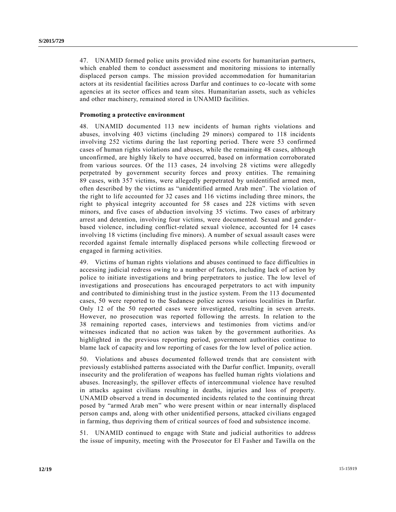47. UNAMID formed police units provided nine escorts for humanitarian partners, which enabled them to conduct assessment and monitoring missions to internally displaced person camps. The mission provided accommodation for humanitarian actors at its residential facilities across Darfur and continues to co-locate with some agencies at its sector offices and team sites. Humanitarian assets, such as vehicles and other machinery, remained stored in UNAMID facilities.

#### **Promoting a protective environment**

48. UNAMID documented 113 new incidents of human rights violations and abuses, involving 403 victims (including 29 minors) compared to 118 incidents involving 252 victims during the last reporting period. There were 53 confirmed cases of human rights violations and abuses, while the remaining 48 cases, although unconfirmed, are highly likely to have occurred, based on information corroborated from various sources. Of the 113 cases, 24 involving 28 victims were allegedly perpetrated by government security forces and proxy entities. The remaining 89 cases, with 357 victims, were allegedly perpetrated by unidentified armed men, often described by the victims as "unidentified armed Arab men". The vio lation of the right to life accounted for 32 cases and 116 victims including three minors, the right to physical integrity accounted for 58 cases and 228 victims with seven minors, and five cases of abduction involving 35 victims. Two cases of arbitrary arrest and detention, involving four victims, were documented. Sexual and genderbased violence, including conflict-related sexual violence, accounted for 14 cases involving 18 victims (including five minors). A number of sexual assault cases were recorded against female internally displaced persons while collecting firewood or engaged in farming activities.

49. Victims of human rights violations and abuses continued to face difficulties in accessing judicial redress owing to a number of factors, including lack of action by police to initiate investigations and bring perpetrators to justice. The low level of investigations and prosecutions has encouraged perpetrators to act with impunity and contributed to diminishing trust in the justice system. From the 113 documented cases, 50 were reported to the Sudanese police across various localities in Darfur. Only 12 of the 50 reported cases were investigated, resulting in seven arrests. However, no prosecution was reported following the arrests. In relation to the 38 remaining reported cases, interviews and testimonies from victims and/or witnesses indicated that no action was taken by the government authorities. As highlighted in the previous reporting period, government authorities continue to blame lack of capacity and low reporting of cases for the low level of police action.

50. Violations and abuses documented followed trends that are consistent with previously established patterns associated with the Darfur conflict. Impunity, overall insecurity and the proliferation of weapons has fuelled human rights violations and abuses. Increasingly, the spillover effects of intercommunal violence have resulted in attacks against civilians resulting in deaths, injuries and loss of property. UNAMID observed a trend in documented incidents related to the continuing threat posed by "armed Arab men" who were present within or near internally displaced person camps and, along with other unidentified persons, attacked civilians engaged in farming, thus depriving them of critical sources of food and subsistence income.

51. UNAMID continued to engage with State and judicial authorities to address the issue of impunity, meeting with the Prosecutor for El Fasher and Tawilla on the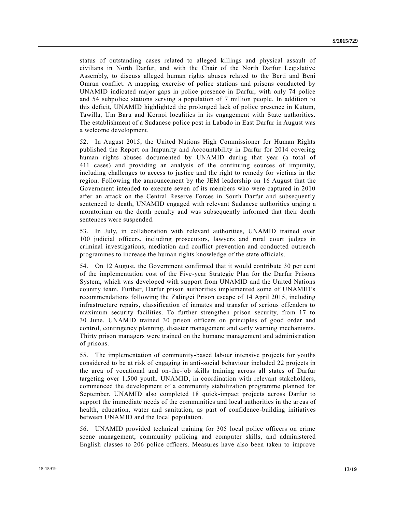status of outstanding cases related to alleged killings and physical assault of civilians in North Darfur, and with the Chair of the North Darfur Legislative Assembly, to discuss alleged human rights abuses related to the Berti and Beni Omran conflict. A mapping exercise of police stations and prisons conducted by UNAMID indicated major gaps in police presence in Darfur, with only 74 police and 54 subpolice stations serving a population of 7 million people. In addition to this deficit, UNAMID highlighted the prolonged lack of police presence in Kutum, Tawilla, Um Baru and Kornoi localities in its engagement with State authorities. The establishment of a Sudanese police post in Labado in East Darfur in August was a welcome development.

52. In August 2015, the United Nations High Commissioner for Human Rights published the Report on Impunity and Accountability in Darfur for 2014 covering human rights abuses documented by UNAMID during that year (a total of 411 cases) and providing an analysis of the continuing sources of impunity, including challenges to access to justice and the right to remedy for victims in the region. Following the announcement by the JEM leadership on 16 August that the Government intended to execute seven of its members who were captured in 2010 after an attack on the Central Reserve Forces in South Darfur and subsequently sentenced to death, UNAMID engaged with relevant Sudanese authorities urging a moratorium on the death penalty and was subsequently informed that their death sentences were suspended.

53. In July, in collaboration with relevant authorities, UNAMID trained over 100 judicial officers, including prosecutors, lawyers and rural court judges in criminal investigations, mediation and conflict prevention and conducted outreach programmes to increase the human rights knowledge of the state officials.

54. On 12 August, the Government confirmed that it would contribute 30 per cent of the implementation cost of the Five-year Strategic Plan for the Darfur Prisons System, which was developed with support from UNAMID and the United Nations country team. Further, Darfur prison authorities implemented some of UNAMID's recommendations following the Zalingei Prison escape of 14 April 2015, including infrastructure repairs, classification of inmates and transfer of serious offenders to maximum security facilities. To further strengthen prison security, from 17 to 30 June, UNAMID trained 30 prison officers on principles of good order and control, contingency planning, disaster management and early warning mechanisms. Thirty prison managers were trained on the humane management and administration of prisons.

55. The implementation of community-based labour intensive projects for youths considered to be at risk of engaging in anti-social behaviour included 22 projects in the area of vocational and on-the-job skills training across all states of Darfur targeting over 1,500 youth. UNAMID, in coordination with relevant stakeholders, commenced the development of a community stabilization programme planned for September. UNAMID also completed 18 quick-impact projects across Darfur to support the immediate needs of the communities and local authorities in the areas of health, education, water and sanitation, as part of confidence-building initiatives between UNAMID and the local population.

56. UNAMID provided technical training for 305 local police officers on crime scene management, community policing and computer skills, and administered English classes to 206 police officers. Measures have also been taken to improve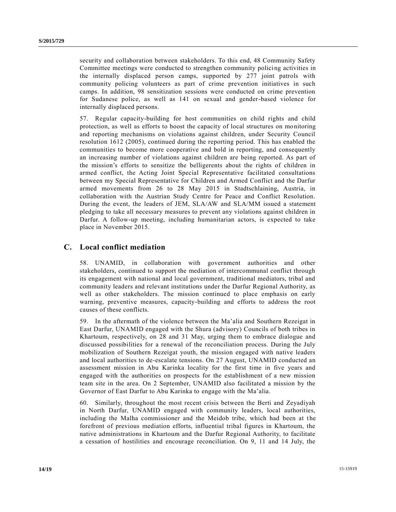security and collaboration between stakeholders. To this end, 48 Community Safety Committee meetings were conducted to strengthen community policing activities in the internally displaced person camps, supported by 277 joint patrols with community policing volunteers as part of crime prevention initiatives in such camps. In addition, 98 sensitization sessions were conducted on crime prevention for Sudanese police, as well as 141 on sexual and gender-based violence for internally displaced persons.

57. Regular capacity-building for host communities on child rights and child protection, as well as efforts to boost the capacity of local structures on monitoring and reporting mechanisms on violations against children, under Security Council resolution 1612 (2005), continued during the reporting period. This has enabled the communities to become more cooperative and bold in reporting, and consequently an increasing number of violations against children are being reported. As part of the mission's efforts to sensitize the belligerents about the rights of children in armed conflict, the Acting Joint Special Representative facilitated consultations between my Special Representative for Children and Armed Conflict and the Darfur armed movements from 26 to 28 May 2015 in Stadtschlaining, Austria, in collaboration with the Austrian Study Centre for Peace and Conflict Resolution. During the event, the leaders of JEM, SLA/AW and SLA/MM issued a statement pledging to take all necessary measures to prevent any violations against children in Darfur. A follow-up meeting, including humanitarian actors, is expected to take place in November 2015.

## **C. Local conflict mediation**

58. UNAMID, in collaboration with government authorities and other stakeholders, continued to support the mediation of intercommunal conflict through its engagement with national and local government, traditional mediators, tribal and community leaders and relevant institutions under the Darfur Regional Authority, as well as other stakeholders. The mission continued to place emphasis on early warning, preventive measures, capacity-building and efforts to address the root causes of these conflicts.

59. In the aftermath of the violence between the Ma'alia and Southern Rezeigat in East Darfur, UNAMID engaged with the Shura (advisory) Councils of both tribes in Khartoum, respectively, on 28 and 31 May, urging them to embrace dialogue and discussed possibilities for a renewal of the reconciliation process. During the July mobilization of Southern Rezeigat youth, the mission engaged with native leaders and local authorities to de-escalate tensions. On 27 August, UNAMID conducted an assessment mission in Abu Karinka locality for the first time in five years and engaged with the authorities on prospects for the establishment of a new mission team site in the area. On 2 September, UNAMID also facilitated a mission by the Governor of East Darfur to Abu Karinka to engage with the Ma'alia.

60. Similarly, throughout the most recent crisis between the Berti and Zeyadiyah in North Darfur, UNAMID engaged with community leaders, local authorities, including the Malha commissioner and the Meidob tribe, which had been at the forefront of previous mediation efforts, influential tribal figures in Khartoum, the native administrations in Khartoum and the Darfur Regional Authority, to facilitate a cessation of hostilities and encourage reconciliation. On 9, 11 and 14 July, the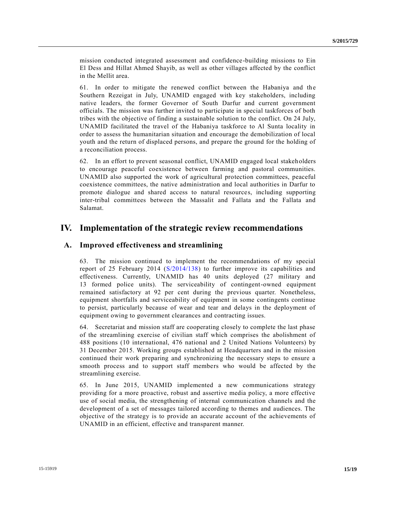mission conducted integrated assessment and confidence-building missions to Ein El Dess and Hillat Ahmed Shayib, as well as other villages affected by the conflict in the Mellit area.

61. In order to mitigate the renewed conflict between the Habaniya and the Southern Rezeigat in July, UNAMID engaged with key stakeholders, including native leaders, the former Governor of South Darfur and current government officials. The mission was further invited to participate in special taskforces of both tribes with the objective of finding a sustainable solution to the conflict. On 24 July, UNAMID facilitated the travel of the Habaniya taskforce to Al Sunta locality in order to assess the humanitarian situation and encourage the demobilization of local youth and the return of displaced persons, and prepare the ground for the holding of a reconciliation process.

62. In an effort to prevent seasonal conflict, UNAMID engaged local stakeholders to encourage peaceful coexistence between farming and pastoral communities. UNAMID also supported the work of agricultural protection committees, peaceful coexistence committees, the native administration and local authorities in Darfur to promote dialogue and shared access to natural resources, including supporting inter-tribal committees between the Massalit and Fallata and the Fallata and Salamat.

## **IV. Implementation of the strategic review recommendations**

### **A. Improved effectiveness and streamlining**

63. The mission continued to implement the recommendations of my special report of 25 February 2014 [\(S/2014/138\)](http://undocs.org/S/2014/138) to further improve its capabilities and effectiveness. Currently, UNAMID has 40 units deployed (27 military and 13 formed police units). The serviceability of contingent-owned equipment remained satisfactory at 92 per cent during the previous quarter. Nonetheless, equipment shortfalls and serviceability of equipment in some contingents continue to persist, particularly because of wear and tear and delays in the deployment of equipment owing to government clearances and contracting issues.

64. Secretariat and mission staff are cooperating closely to complete the last phase of the streamlining exercise of civilian staff which comprises the abolishment of 488 positions (10 international, 476 national and 2 United Nations Volunteers) by 31 December 2015. Working groups established at Headquarters and in the mission continued their work preparing and synchronizing the necessary steps to ensure a smooth process and to support staff members who would be affected by the streamlining exercise.

65. In June 2015, UNAMID implemented a new communications strategy providing for a more proactive, robust and assertive media policy, a more effective use of social media, the strengthening of internal communication channels and the development of a set of messages tailored according to themes and audiences. The objective of the strategy is to provide an accurate account of the achievements of UNAMID in an efficient, effective and transparent manner.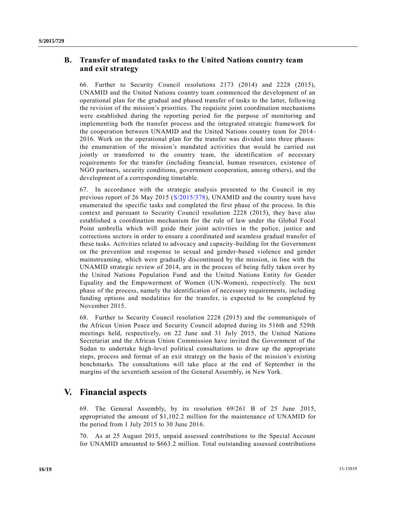## **B. Transfer of mandated tasks to the United Nations country team and exit strategy**

66. Further to Security Council resolutions 2173 (2014) and 2228 (2015), UNAMID and the United Nations country team commenced the development of an operational plan for the gradual and phased transfer of tasks to the latter, following the revision of the mission's priorities. The requisite joint coordination mechanisms were established during the reporting period for the purpose of monitoring and implementing both the transfer process and the integrated strategic framework for the cooperation between UNAMID and the United Nations country team for 2014 - 2016. Work on the operational plan for the transfer was divided into three phases: the enumeration of the mission's mandated activities that would be carried out jointly or transferred to the country team, the identification of necessary requirements for the transfer (including financial, human resources, existence of NGO partners, security conditions, government cooperation, among others), and the development of a corresponding timetable.

67. In accordance with the strategic analysis presented to the Council in my previous report of 26 May 2015 [\(S/2015/378\)](http://undocs.org/S/2015/378), UNAMID and the country team have enumerated the specific tasks and completed the first phase of the process. In this context and pursuant to Security Council resolution 2228 (2015), they have also established a coordination mechanism for the rule of law under the Global Focal Point umbrella which will guide their joint activities in the police, justice and corrections sectors in order to ensure a coordinated and seamless gradual transfer of these tasks. Activities related to advocacy and capacity-building for the Government on the prevention and response to sexual and gender-based violence and gender mainstreaming, which were gradually discontinued by the mission, in line with the UNAMID strategic review of 2014, are in the process of being fully taken over by the United Nations Population Fund and the United Nations Entity for Gender Equality and the Empowerment of Women (UN-Women), respectively. The next phase of the process, namely the identification of necessary requirements, including funding options and modalities for the transfer, is expected to be completed by November 2015.

68. Further to Security Council resolution 2228 (2015) and the communiqués of the African Union Peace and Security Council adopted during its 516th and 529th meetings held, respectively, on 22 June and 31 July 2015, the United Nations Secretariat and the African Union Commission have invited the Government of the Sudan to undertake high-level political consultations to draw up the appropriate steps, process and format of an exit strategy on the basis of the mission's existing benchmarks. The consultations will take place at the end of September in the margins of the seventieth session of the General Assembly, in New York.

# **V. Financial aspects**

69. The General Assembly, by its resolution 69/261 B of 25 June 2015, appropriated the amount of \$1,102.2 million for the maintenance of UNAMID for the period from 1 July 2015 to 30 June 2016.

70. As at 25 August 2015, unpaid assessed contributions to the Special Account for UNAMID amounted to \$663.2 million. Total outstanding assessed contributions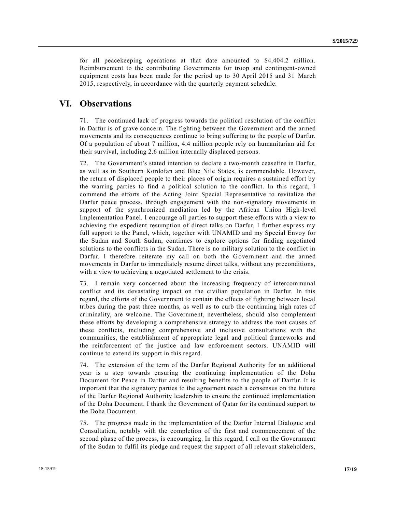for all peacekeeping operations at that date amounted to \$4,404.2 million. Reimbursement to the contributing Governments for troop and contingent-owned equipment costs has been made for the period up to 30 April 2015 and 31 March 2015, respectively, in accordance with the quarterly payment schedule.

## **VI. Observations**

71. The continued lack of progress towards the political resolution of the conflict in Darfur is of grave concern. The fighting between the Government and the armed movements and its consequences continue to bring suffering to the people of Darfur. Of a population of about 7 million, 4.4 million people rely on humanitarian aid for their survival, including 2.6 million internally displaced persons.

72. The Government's stated intention to declare a two-month ceasefire in Darfur, as well as in Southern Kordofan and Blue Nile States, is commendable. However, the return of displaced people to their places of origin requires a sustained effort by the warring parties to find a political solution to the conflict. In this regard, I commend the efforts of the Acting Joint Special Representative to revitalize the Darfur peace process, through engagement with the non-signatory movements in support of the synchronized mediation led by the African Union High-level Implementation Panel. I encourage all parties to support these efforts with a view to achieving the expedient resumption of direct talks on Darfur. I further express my full support to the Panel, which, together with UNAMID and my Special Envoy for the Sudan and South Sudan, continues to explore options for finding negotiated solutions to the conflicts in the Sudan. There is no military solution to the conflict in Darfur. I therefore reiterate my call on both the Government and the armed movements in Darfur to immediately resume direct talks, without any preconditions, with a view to achieving a negotiated settlement to the crisis.

73. I remain very concerned about the increasing frequency of intercommunal conflict and its devastating impact on the civilian population in Darfur. In this regard, the efforts of the Government to contain the effects of fighting between local tribes during the past three months, as well as to curb the continuing high rates of criminality, are welcome. The Government, nevertheless, should also complement these efforts by developing a comprehensive strategy to address the root causes of these conflicts, including comprehensive and inclusive consultations with the communities, the establishment of appropriate legal and political frameworks and the reinforcement of the justice and law enforcement sectors. UNAMID will continue to extend its support in this regard.

74. The extension of the term of the Darfur Regional Authority for an additional year is a step towards ensuring the continuing implementation of the Doha Document for Peace in Darfur and resulting benefits to the people of Darfur. It is important that the signatory parties to the agreement reach a consensus on the future of the Darfur Regional Authority leadership to ensure the continued implementation of the Doha Document. I thank the Government of Qatar for its continued support to the Doha Document.

75. The progress made in the implementation of the Darfur Internal Dialogue and Consultation, notably with the completion of the first and commencement of the second phase of the process, is encouraging. In this regard, I call on the Government of the Sudan to fulfil its pledge and request the support of all relevant stakeholders,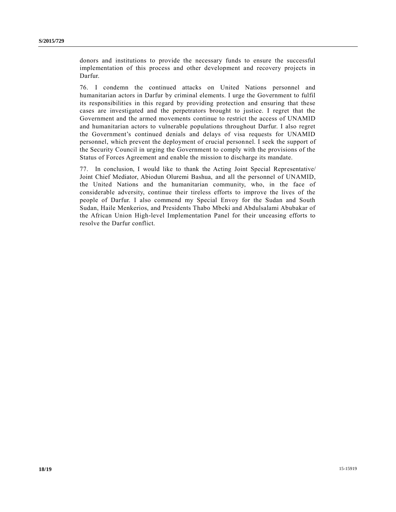donors and institutions to provide the necessary funds to ensure the successful implementation of this process and other development and recovery projects in Darfur.

76. I condemn the continued attacks on United Nations personnel and humanitarian actors in Darfur by criminal elements. I urge the Government to fulfil its responsibilities in this regard by providing protection and ensuring that these cases are investigated and the perpetrators brought to justice. I regret that the Government and the armed movements continue to restrict the access of UNAMID and humanitarian actors to vulnerable populations throughout Darfur. I also regret the Government's continued denials and delays of visa requests for UNAMID personnel, which prevent the deployment of crucial personnel. I seek the support of the Security Council in urging the Government to comply with the provisions of the Status of Forces Agreement and enable the mission to discharge its mandate.

77. In conclusion, I would like to thank the Acting Joint Special Representative/ Joint Chief Mediator, Abiodun Oluremi Bashua, and all the personnel of UNAMID, the United Nations and the humanitarian community, who, in the face of considerable adversity, continue their tireless efforts to improve the lives of the people of Darfur. I also commend my Special Envoy for the Sudan and South Sudan, Haile Menkerios, and Presidents Thabo Mbeki and Abdulsalami Abubakar of the African Union High-level Implementation Panel for their unceasing efforts to resolve the Darfur conflict.